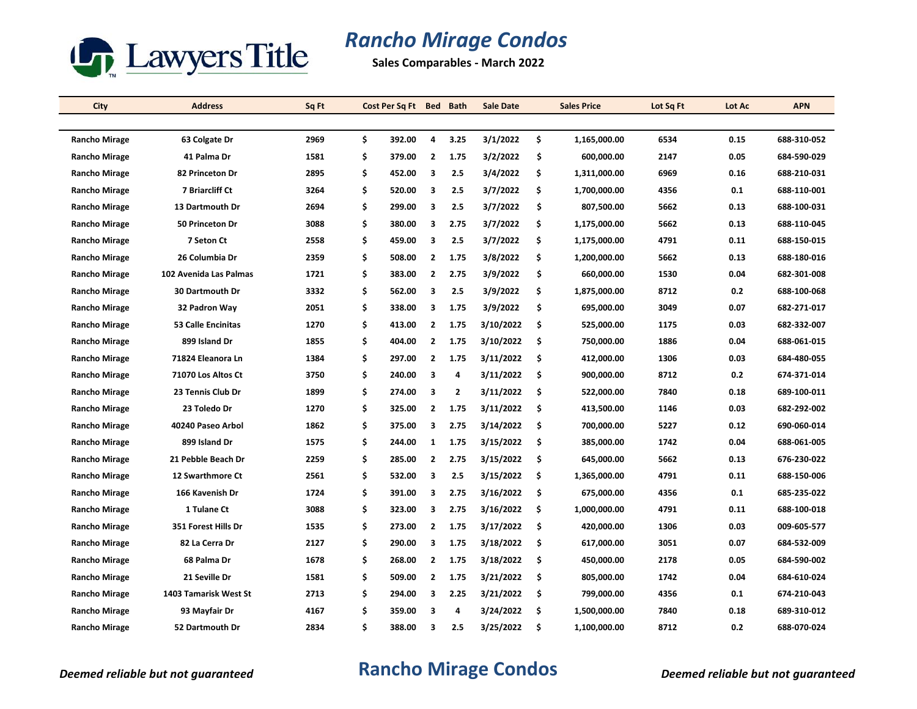

## *Rancho Mirage Condos*

**Sales Comparables - March 2022**

| City                 | <b>Address</b>            | Sq Ft |    | Cost Per Sq Ft | <b>Bed</b>     | <b>Bath</b>             | <b>Sale Date</b> | <b>Sales Price</b> | Lot Sq Ft | Lot Ac | <b>APN</b>  |
|----------------------|---------------------------|-------|----|----------------|----------------|-------------------------|------------------|--------------------|-----------|--------|-------------|
|                      |                           |       |    |                |                |                         |                  |                    |           |        |             |
| Rancho Mirage        | 63 Colgate Dr             | 2969  | \$ | 392.00         | 4              | 3.25                    | 3/1/2022         | \$<br>1,165,000.00 | 6534      | 0.15   | 688-310-052 |
| <b>Rancho Mirage</b> | 41 Palma Dr               | 1581  | \$ | 379.00         | 2              | 1.75                    | 3/2/2022         | \$<br>600,000.00   | 2147      | 0.05   | 684-590-029 |
| <b>Rancho Mirage</b> | 82 Princeton Dr           | 2895  | \$ | 452.00         | 3              | 2.5                     | 3/4/2022         | \$<br>1,311,000.00 | 6969      | 0.16   | 688-210-031 |
| <b>Rancho Mirage</b> | 7 Briarcliff Ct           | 3264  | \$ | 520.00         | 3              | 2.5                     | 3/7/2022         | \$<br>1,700,000.00 | 4356      | 0.1    | 688-110-001 |
| <b>Rancho Mirage</b> | <b>13 Dartmouth Dr</b>    | 2694  | \$ | 299.00         | 3              | 2.5                     | 3/7/2022         | \$<br>807,500.00   | 5662      | 0.13   | 688-100-031 |
| <b>Rancho Mirage</b> | 50 Princeton Dr           | 3088  | \$ | 380.00         | 3              | 2.75                    | 3/7/2022         | \$<br>1,175,000.00 | 5662      | 0.13   | 688-110-045 |
| <b>Rancho Mirage</b> | 7 Seton Ct                | 2558  | \$ | 459.00         | 3              | 2.5                     | 3/7/2022         | \$<br>1,175,000.00 | 4791      | 0.11   | 688-150-015 |
| <b>Rancho Mirage</b> | 26 Columbia Dr            | 2359  | \$ | 508.00         | $\overline{2}$ | 1.75                    | 3/8/2022         | \$<br>1,200,000.00 | 5662      | 0.13   | 688-180-016 |
| <b>Rancho Mirage</b> | 102 Avenida Las Palmas    | 1721  | \$ | 383.00         | $\overline{2}$ | 2.75                    | 3/9/2022         | \$<br>660,000.00   | 1530      | 0.04   | 682-301-008 |
| <b>Rancho Mirage</b> | <b>30 Dartmouth Dr</b>    | 3332  | \$ | 562.00         | 3              | 2.5                     | 3/9/2022         | \$<br>1,875,000.00 | 8712      | 0.2    | 688-100-068 |
| <b>Rancho Mirage</b> | 32 Padron Way             | 2051  | \$ | 338.00         | 3              | 1.75                    | 3/9/2022         | \$<br>695,000.00   | 3049      | 0.07   | 682-271-017 |
| <b>Rancho Mirage</b> | <b>53 Calle Encinitas</b> | 1270  | \$ | 413.00         | $\overline{2}$ | 1.75                    | 3/10/2022        | \$<br>525,000.00   | 1175      | 0.03   | 682-332-007 |
| <b>Rancho Mirage</b> | 899 Island Dr             | 1855  | \$ | 404.00         | $\overline{2}$ | 1.75                    | 3/10/2022        | \$<br>750,000.00   | 1886      | 0.04   | 688-061-015 |
| <b>Rancho Mirage</b> | 71824 Eleanora Ln         | 1384  | \$ | 297.00         | $\overline{2}$ | 1.75                    | 3/11/2022        | \$<br>412,000.00   | 1306      | 0.03   | 684-480-055 |
| <b>Rancho Mirage</b> | 71070 Los Altos Ct        | 3750  | \$ | 240.00         | 3              | 4                       | 3/11/2022        | \$<br>900,000.00   | 8712      | 0.2    | 674-371-014 |
| <b>Rancho Mirage</b> | 23 Tennis Club Dr         | 1899  | \$ | 274.00         | 3              | $\overline{\mathbf{2}}$ | 3/11/2022        | \$<br>522,000.00   | 7840      | 0.18   | 689-100-011 |
| <b>Rancho Mirage</b> | 23 Toledo Dr              | 1270  | \$ | 325.00         | $\overline{2}$ | 1.75                    | 3/11/2022        | \$<br>413,500.00   | 1146      | 0.03   | 682-292-002 |
| <b>Rancho Mirage</b> | 40240 Paseo Arbol         | 1862  | \$ | 375.00         | 3              | 2.75                    | 3/14/2022        | \$<br>700,000.00   | 5227      | 0.12   | 690-060-014 |
| <b>Rancho Mirage</b> | 899 Island Dr             | 1575  | \$ | 244.00         | 1              | 1.75                    | 3/15/2022        | \$<br>385,000.00   | 1742      | 0.04   | 688-061-005 |
| <b>Rancho Mirage</b> | 21 Pebble Beach Dr        | 2259  | \$ | 285.00         | $\overline{2}$ | 2.75                    | 3/15/2022        | \$<br>645,000.00   | 5662      | 0.13   | 676-230-022 |
| <b>Rancho Mirage</b> | 12 Swarthmore Ct          | 2561  | \$ | 532.00         | 3              | 2.5                     | 3/15/2022        | \$<br>1,365,000.00 | 4791      | 0.11   | 688-150-006 |
| <b>Rancho Mirage</b> | 166 Kavenish Dr           | 1724  | \$ | 391.00         | 3              | 2.75                    | 3/16/2022        | \$<br>675,000.00   | 4356      | 0.1    | 685-235-022 |
| <b>Rancho Mirage</b> | 1 Tulane Ct               | 3088  | \$ | 323.00         | 3              | 2.75                    | 3/16/2022        | \$<br>1,000,000.00 | 4791      | 0.11   | 688-100-018 |
| <b>Rancho Mirage</b> | 351 Forest Hills Dr       | 1535  | \$ | 273.00         | $\mathbf{2}$   | 1.75                    | 3/17/2022        | \$<br>420,000.00   | 1306      | 0.03   | 009-605-577 |
| <b>Rancho Mirage</b> | 82 La Cerra Dr            | 2127  | \$ | 290.00         | 3              | 1.75                    | 3/18/2022        | \$<br>617,000.00   | 3051      | 0.07   | 684-532-009 |
| <b>Rancho Mirage</b> | 68 Palma Dr               | 1678  | \$ | 268.00         | $\overline{2}$ | 1.75                    | 3/18/2022        | \$<br>450,000.00   | 2178      | 0.05   | 684-590-002 |
| <b>Rancho Mirage</b> | 21 Seville Dr             | 1581  | \$ | 509.00         | $\overline{2}$ | 1.75                    | 3/21/2022        | \$<br>805,000.00   | 1742      | 0.04   | 684-610-024 |
| <b>Rancho Mirage</b> | 1403 Tamarisk West St     | 2713  | \$ | 294.00         | 3              | 2.25                    | 3/21/2022        | \$<br>799,000.00   | 4356      | 0.1    | 674-210-043 |
| <b>Rancho Mirage</b> | 93 Mayfair Dr             | 4167  | Ś  | 359.00         | 3              | 4                       | 3/24/2022        | \$<br>1,500,000.00 | 7840      | 0.18   | 689-310-012 |
| <b>Rancho Mirage</b> | 52 Dartmouth Dr           | 2834  | Ś  | 388.00         | 3              | 2.5                     | 3/25/2022        | \$<br>1,100,000.00 | 8712      | 0.2    | 688-070-024 |

## *Deemed reliable but not guaranteed* **Rancho Mirage Condos** *Deemed reliable but not guaranteed*